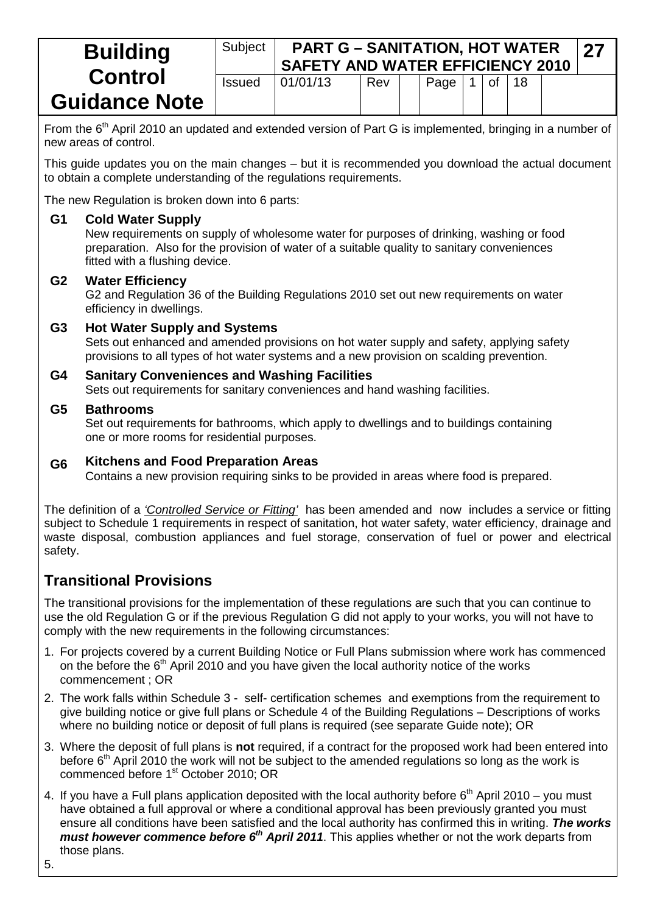| <b>Building</b>      | Subject       | <b>PART G - SANITATION, HOT WATER</b><br><b>27</b><br><b>SAFETY AND WATER EFFICIENCY 2010</b> |     |  |      |  |    |  |  |  |
|----------------------|---------------|-----------------------------------------------------------------------------------------------|-----|--|------|--|----|--|--|--|
| <b>Control</b>       | <b>Issued</b> | 01/01/13                                                                                      | Rev |  | Page |  | 0t |  |  |  |
| <b>Guidance Note</b> |               |                                                                                               |     |  |      |  |    |  |  |  |

From the 6<sup>th</sup> April 2010 an updated and extended version of Part G is implemented, bringing in a number of new areas of control.

This guide updates you on the main changes – but it is recommended you download the actual document to obtain a complete understanding of the regulations requirements.

The new Regulation is broken down into 6 parts:

#### **G1 Cold Water Supply**

New requirements on supply of wholesome water for purposes of drinking, washing or food preparation. Also for the provision of water of a suitable quality to sanitary conveniences fitted with a flushing device.

#### **G2 Water Efficiency**

G2 and Regulation 36 of the Building Regulations 2010 set out new requirements on water efficiency in dwellings.

#### **G3 Hot Water Supply and Systems**

Sets out enhanced and amended provisions on hot water supply and safety, applying safety provisions to all types of hot water systems and a new provision on scalding prevention.

#### **G4 Sanitary Conveniences and Washing Facilities**

Sets out requirements for sanitary conveniences and hand washing facilities.

#### **G5 Bathrooms**

Set out requirements for bathrooms, which apply to dwellings and to buildings containing one or more rooms for residential purposes.

#### **G6 Kitchens and Food Preparation Areas**

Contains a new provision requiring sinks to be provided in areas where food is prepared.

The definition of a *'Controlled Service or Fitting'* has been amended and now includes a service or fitting subject to Schedule 1 requirements in respect of sanitation, hot water safety, water efficiency, drainage and waste disposal, combustion appliances and fuel storage, conservation of fuel or power and electrical safety.

# **Transitional Provisions**

The transitional provisions for the implementation of these regulations are such that you can continue to use the old Regulation G or if the previous Regulation G did not apply to your works, you will not have to comply with the new requirements in the following circumstances:

- 1. For projects covered by a current Building Notice or Full Plans submission where work has commenced on the before the  $6<sup>th</sup>$  April 2010 and you have given the local authority notice of the works commencement ; OR
- 2. The work falls within Schedule 3 self- certification schemes and exemptions from the requirement to give building notice or give full plans or Schedule 4 of the Building Regulations – Descriptions of works where no building notice or deposit of full plans is required (see separate Guide note); OR
- 3. Where the deposit of full plans is **not** required, if a contract for the proposed work had been entered into before  $6<sup>th</sup>$  April 2010 the work will not be subject to the amended regulations so long as the work is commenced before 1<sup>st</sup> October 2010; OR
- 4. If you have a Full plans application deposited with the local authority before  $6<sup>th</sup>$  April 2010 you must have obtained a full approval or where a conditional approval has been previously granted you must ensure all conditions have been satisfied and the local authority has confirmed this in writing. *The works must however commence before 6<sup>th</sup> April 2011*. This applies whether or not the work departs from those plans.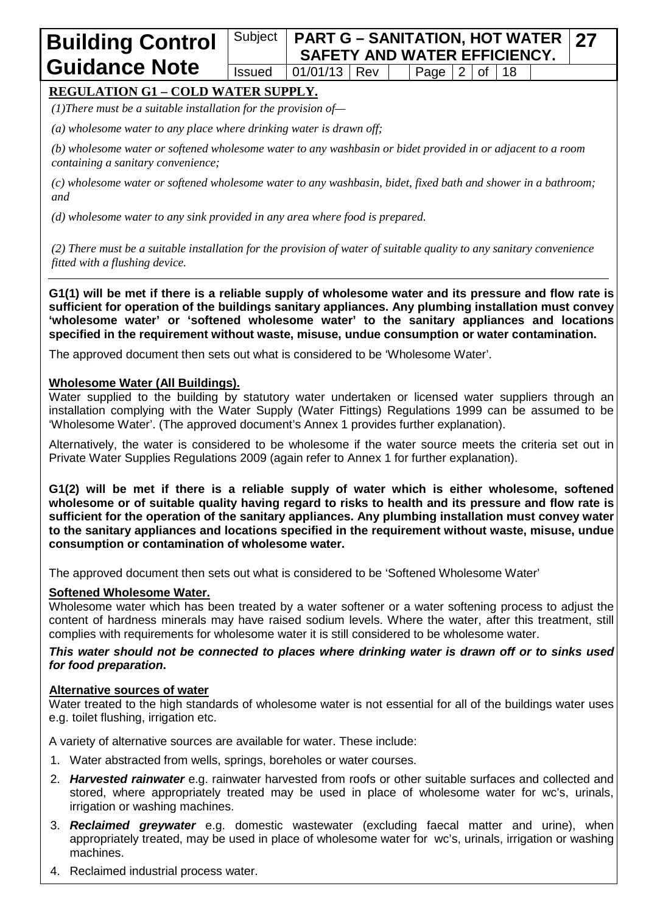#### Subject **PART G – SANITATION, HOT WATER SAFETY AND WATER EFFICIENCY. 27** Issued  $\vert$  01/01/13 Rev  $\vert$  Page 2 of 18

# **REGULATION G1 – COLD WATER SUPPLY.**

*(1)There must be a suitable installation for the provision of—*

*(a) wholesome water to any place where drinking water is drawn off;*

*(b) wholesome water or softened wholesome water to any washbasin or bidet provided in or adjacent to a room containing a sanitary convenience;*

*(c) wholesome water or softened wholesome water to any washbasin, bidet, fixed bath and shower in a bathroom; and*

*(d) wholesome water to any sink provided in any area where food is prepared.*

*(2) There must be a suitable installation for the provision of water of suitable quality to any sanitary convenience fitted with a flushing device.*

**G1(1) will be met if there is a reliable supply of wholesome water and its pressure and flow rate is sufficient for operation of the buildings sanitary appliances. Any plumbing installation must convey 'wholesome water' or 'softened wholesome water' to the sanitary appliances and locations specified in the requirement without waste, misuse, undue consumption or water contamination.**

The approved document then sets out what is considered to be 'Wholesome Water'.

#### **Wholesome Water (All Buildings).**

Water supplied to the building by statutory water undertaken or licensed water suppliers through an installation complying with the Water Supply (Water Fittings) Regulations 1999 can be assumed to be 'Wholesome Water'. (The approved document's Annex 1 provides further explanation).

Alternatively, the water is considered to be wholesome if the water source meets the criteria set out in Private Water Supplies Regulations 2009 (again refer to Annex 1 for further explanation).

**G1(2) will be met if there is a reliable supply of water which is either wholesome, softened wholesome or of suitable quality having regard to risks to health and its pressure and flow rate is sufficient for the operation of the sanitary appliances. Any plumbing installation must convey water to the sanitary appliances and locations specified in the requirement without waste, misuse, undue consumption or contamination of wholesome water.**

The approved document then sets out what is considered to be 'Softened Wholesome Water'

#### **Softened Wholesome Water.**

Wholesome water which has been treated by a water softener or a water softening process to adjust the content of hardness minerals may have raised sodium levels. Where the water, after this treatment, still complies with requirements for wholesome water it is still considered to be wholesome water.

*This water should not be connected to places where drinking water is drawn off or to sinks used for food preparation***.**

#### **Alternative sources of water**

Water treated to the high standards of wholesome water is not essential for all of the buildings water uses e.g. toilet flushing, irrigation etc.

A variety of alternative sources are available for water. These include:

- 1. Water abstracted from wells, springs, boreholes or water courses.
- 2. *Harvested rainwater* e.g. rainwater harvested from roofs or other suitable surfaces and collected and stored, where appropriately treated may be used in place of wholesome water for wc's, urinals, irrigation or washing machines.
- 3. *Reclaimed greywater* e.g. domestic wastewater (excluding faecal matter and urine), when appropriately treated, may be used in place of wholesome water for wc's, urinals, irrigation or washing machines.
- 4. Reclaimed industrial process water.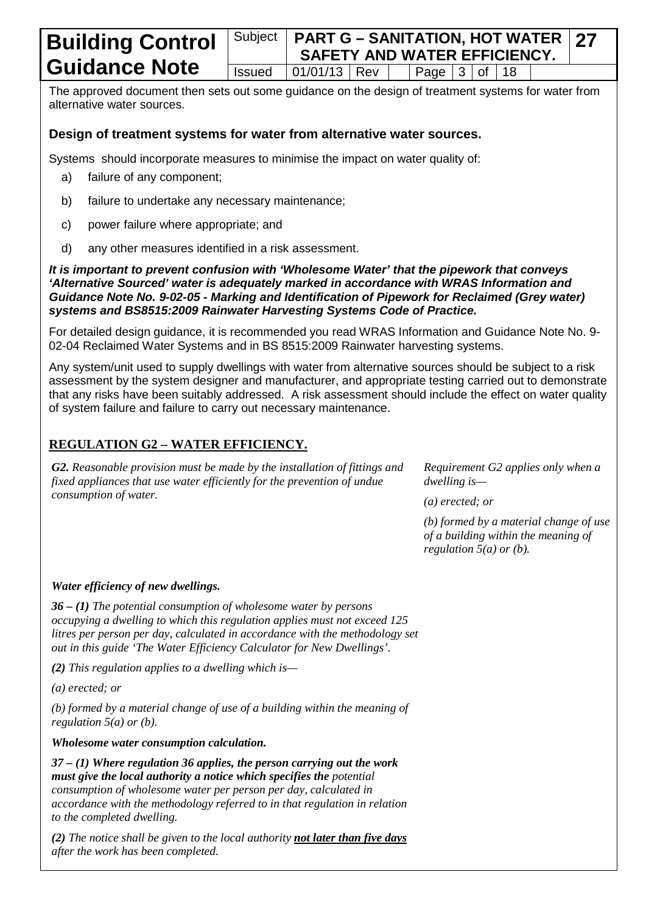#### Subject **PART G – SANITATION, HOT WATER SAFETY AND WATER EFFICIENCY. 27** Issued  $|01/01/13|$  Rev  $|$  Page  $|3|$  of 18

The approved document then sets out some guidance on the design of treatment systems for water from alternative water sources.

### **Design of treatment systems for water from alternative water sources.**

Systems should incorporate measures to minimise the impact on water quality of:

- a) failure of any component;
- b) failure to undertake any necessary maintenance;
- c) power failure where appropriate; and
- d) any other measures identified in a risk assessment.

*It is important to prevent confusion with 'Wholesome Water' that the pipework that conveys 'Alternative Sourced' water is adequately marked in accordance with WRAS Information and Guidance Note No. 9-02-05 - Marking and Identification of Pipework for Reclaimed (Grey water) systems and BS8515:2009 Rainwater Harvesting Systems Code of Practice.*

For detailed design guidance, it is recommended you read WRAS Information and Guidance Note No. 9- 02-04 Reclaimed Water Systems and in BS 8515:2009 Rainwater harvesting systems.

Any system/unit used to supply dwellings with water from alternative sources should be subject to a risk assessment by the system designer and manufacturer, and appropriate testing carried out to demonstrate that any risks have been suitably addressed. A risk assessment should include the effect on water quality of system failure and failure to carry out necessary maintenance.

# **REGULATION G2 – WATER EFFICIENCY.**

*G2. Reasonable provision must be made by the installation of fittings and fixed appliances that use water efficiently for the prevention of undue consumption of water.*

*Requirement G2 applies only when a dwelling is—*

*(a) erected; or*

*(b) formed by a material change of use of a building within the meaning of regulation 5(a) or (b).*

### *Water efficiency of new dwellings.*

*36 – (1) The potential consumption of wholesome water by persons occupying a dwelling to which this regulation applies must not exceed 125 litres per person per day, calculated in accordance with the methodology set out in this guide 'The Water Efficiency Calculator for New Dwellings'.*

*(2) This regulation applies to a dwelling which is—*

*(a) erected; or*

*(b) formed by a material change of use of a building within the meaning of regulation 5(a) or (b).*

*Wholesome water consumption calculation.*

*37 – (1) Where regulation 36 applies, the person carrying out the work must give the local authority a notice which specifies the potential consumption of wholesome water per person per day, calculated in accordance with the methodology referred to in that regulation in relation to the completed dwelling.*

*(2) The notice shall be given to the local authority not later than five days after the work has been completed.*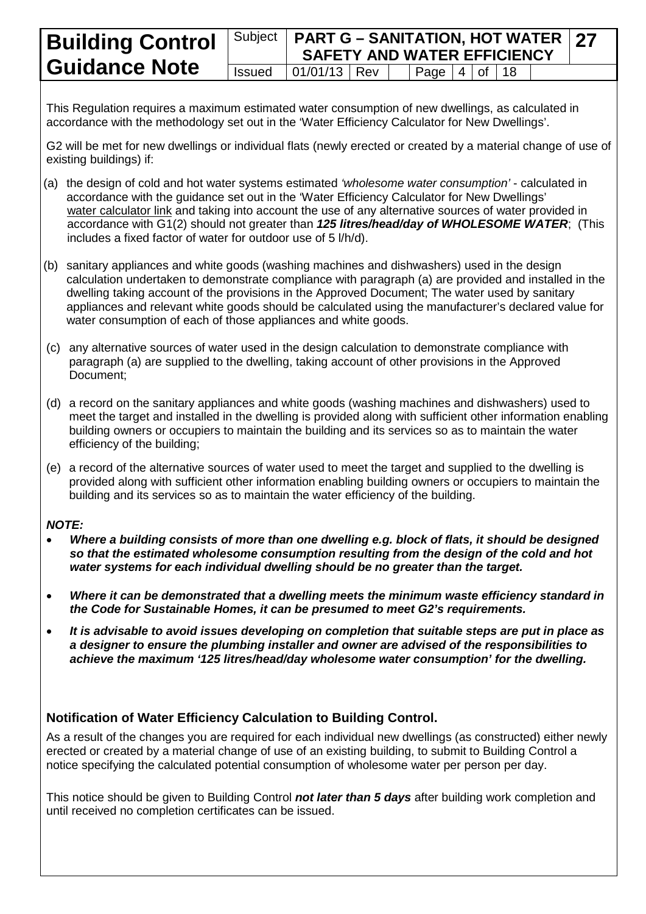#### **Building Control Guidance Note** Subject **PART G – SANITATION, HOT WATER SAFETY AND WATER EFFICIENCY 27**  $Is sued \ |01/01/13 \ |$  Rev  $\ |$  Page 4 of 18

This Regulation requires a maximum estimated water consumption of new dwellings, as calculated in accordance with the methodology set out in the 'Water Efficiency Calculator for New Dwellings'.

G2 will be met for new dwellings or individual flats (newly erected or created by a material change of use of existing buildings) if:

- (a) the design of cold and hot water systems estimated *'wholesome water consumption'* calculated in accordance with the guidance set out in the 'Water Efficiency Calculator for New Dwellings' [water calculator link](http://www.communities.gov.uk/publications/planningandbuilding/watercalculator) and taking into account the use of any alternative sources of water provided in accordance with G1(2) should not greater than *125 litres/head/day of WHOLESOME WATER*; (This includes a fixed factor of water for outdoor use of 5 l/h/d).
- (b) sanitary appliances and white goods (washing machines and dishwashers) used in the design calculation undertaken to demonstrate compliance with paragraph (a) are provided and installed in the dwelling taking account of the provisions in the Approved Document; The water used by sanitary appliances and relevant white goods should be calculated using the manufacturer's declared value for water consumption of each of those appliances and white goods.
- (c) any alternative sources of water used in the design calculation to demonstrate compliance with paragraph (a) are supplied to the dwelling, taking account of other provisions in the Approved Document;
- (d) a record on the sanitary appliances and white goods (washing machines and dishwashers) used to meet the target and installed in the dwelling is provided along with sufficient other information enabling building owners or occupiers to maintain the building and its services so as to maintain the water efficiency of the building;
- (e) a record of the alternative sources of water used to meet the target and supplied to the dwelling is provided along with sufficient other information enabling building owners or occupiers to maintain the building and its services so as to maintain the water efficiency of the building.

#### *NOTE:*

- *Where a building consists of more than one dwelling e.g. block of flats, it should be designed so that the estimated wholesome consumption resulting from the design of the cold and hot water systems for each individual dwelling should be no greater than the target.*
- *Where it can be demonstrated that a dwelling meets the minimum waste efficiency standard in the Code for Sustainable Homes, it can be presumed to meet G2's requirements.*
- *It is advisable to avoid issues developing on completion that suitable steps are put in place as a designer to ensure the plumbing installer and owner are advised of the responsibilities to achieve the maximum '125 litres/head/day wholesome water consumption' for the dwelling.*

### **Notification of Water Efficiency Calculation to Building Control.**

As a result of the changes you are required for each individual new dwellings (as constructed) either newly erected or created by a material change of use of an existing building, to submit to Building Control a notice specifying the calculated potential consumption of wholesome water per person per day.

This notice should be given to Building Control *not later than 5 days* after building work completion and until received no completion certificates can be issued.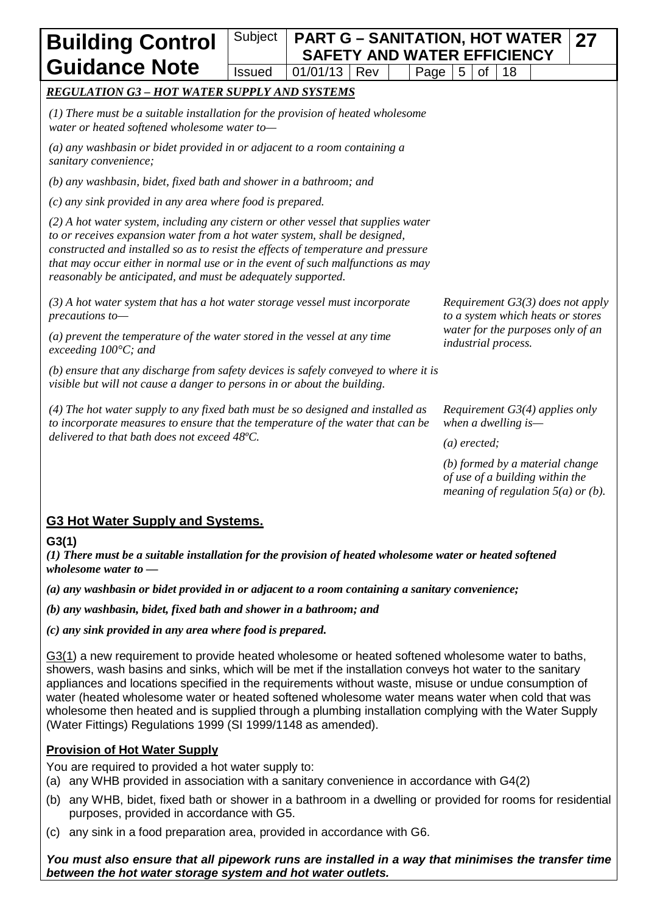# Subject **PART G – SANITATION, HOT WATER SAFETY AND WATER EFFICIENCY**  $Is sued \mid 01/01/13 \mid Rev \mid \mid Paqe \mid 5 \mid of \mid 18$

## *REGULATION G3 – HOT WATER SUPPLY AND SYSTEMS*

*(1) There must be a suitable installation for the provision of heated wholesome water or heated softened wholesome water to—*

*(a) any washbasin or bidet provided in or adjacent to a room containing a sanitary convenience;*

*(b) any washbasin, bidet, fixed bath and shower in a bathroom; and*

*(c) any sink provided in any area where food is prepared.*

*(2) A hot water system, including any cistern or other vessel that supplies water to or receives expansion water from a hot water system, shall be designed, constructed and installed so as to resist the effects of temperature and pressure that may occur either in normal use or in the event of such malfunctions as may reasonably be anticipated, and must be adequately supported.*

*(3) A hot water system that has a hot water storage vessel must incorporate precautions to—*

*(a) prevent the temperature of the water stored in the vessel at any time exceeding 100°C; and*

*(b) ensure that any discharge from safety devices is safely conveyed to where it is visible but will not cause a danger to persons in or about the building.*

*(4) The hot water supply to any fixed bath must be so designed and installed as to incorporate measures to ensure that the temperature of the water that can be delivered to that bath does not exceed 48ºC.*

*Requirement G3(3) does not apply to a system which heats or stores water for the purposes only of an industrial process.*

**27**

*Requirement G3(4) applies only when a dwelling is—*

*(a) erected;*

*(b) formed by a material change of use of a building within the meaning of regulation 5(a) or (b).*

# **G3 Hot Water Supply and Systems.**

#### **G3(1)**

*(1) There must be a suitable installation for the provision of heated wholesome water or heated softened wholesome water to —*

*(a) any washbasin or bidet provided in or adjacent to a room containing a sanitary convenience;*

*(b) any washbasin, bidet, fixed bath and shower in a bathroom; and*

*(c) any sink provided in any area where food is prepared.*

G3(1) a new requirement to provide heated wholesome or heated softened wholesome water to baths, showers, wash basins and sinks, which will be met if the installation conveys hot water to the sanitary appliances and locations specified in the requirements without waste, misuse or undue consumption of water (heated wholesome water or heated softened wholesome water means water when cold that was wholesome then heated and is supplied through a plumbing installation complying with the Water Supply (Water Fittings) Regulations 1999 (SI 1999/1148 as amended).

### **Provision of Hot Water Supply**

You are required to provided a hot water supply to:

- (a) any WHB provided in association with a sanitary convenience in accordance with G4(2)
- (b) any WHB, bidet, fixed bath or shower in a bathroom in a dwelling or provided for rooms for residential purposes, provided in accordance with G5.
- (c) any sink in a food preparation area, provided in accordance with G6.

#### *You must also ensure that all pipework runs are installed in a way that minimises the transfer time between the hot water storage system and hot water outlets.*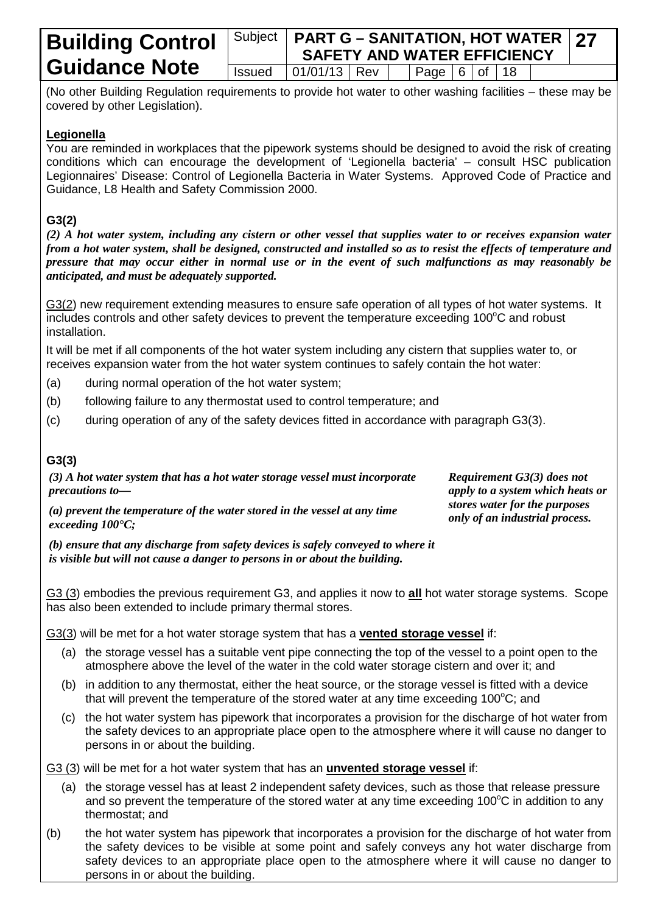#### Subject **PART G – SANITATION, HOT WATER SAFETY AND WATER EFFICIENCY 27**  $Is sued \mid 01/01/13 \mid Rev \mid \mid Paqe \mid 6 \mid of \mid 18$

(No other Building Regulation requirements to provide hot water to other washing facilities – these may be covered by other Legislation).

#### **Legionella**

You are reminded in workplaces that the pipework systems should be designed to avoid the risk of creating conditions which can encourage the development of 'Legionella bacteria' – consult HSC publication Legionnaires' Disease: Control of Legionella Bacteria in Water Systems. Approved Code of Practice and Guidance, L8 Health and Safety Commission 2000.

## **G3(2)**

*(2) A hot water system, including any cistern or other vessel that supplies water to or receives expansion water from a hot water system, shall be designed, constructed and installed so as to resist the effects of temperature and pressure that may occur either in normal use or in the event of such malfunctions as may reasonably be anticipated, and must be adequately supported.*

G3(2) new requirement extending measures to ensure safe operation of all types of hot water systems. It includes controls and other safety devices to prevent the temperature exceeding  $100^{\circ}$ C and robust installation.

It will be met if all components of the hot water system including any cistern that supplies water to, or receives expansion water from the hot water system continues to safely contain the hot water:

- (a) during normal operation of the hot water system;
- (b) following failure to any thermostat used to control temperature; and
- (c) during operation of any of the safety devices fitted in accordance with paragraph G3(3).

### **G3(3)**

*(3) A hot water system that has a hot water storage vessel must incorporate precautions to—* *Requirement G3(3) does not apply to a system which heats or stores water for the purposes only of an industrial process.*

*(a) prevent the temperature of the water stored in the vessel at any time exceeding 100°C;*

*(b) ensure that any discharge from safety devices is safely conveyed to where it is visible but will not cause a danger to persons in or about the building.*

G3 (3) embodies the previous requirement G3, and applies it now to **all** hot water storage systems. Scope has also been extended to include primary thermal stores.

G3(3) will be met for a hot water storage system that has a **vented storage vessel** if:

- (a) the storage vessel has a suitable vent pipe connecting the top of the vessel to a point open to the atmosphere above the level of the water in the cold water storage cistern and over it; and
- (b) in addition to any thermostat, either the heat source, or the storage vessel is fitted with a device that will prevent the temperature of the stored water at any time exceeding 100 $^{\circ}$ C; and
- (c) the hot water system has pipework that incorporates a provision for the discharge of hot water from the safety devices to an appropriate place open to the atmosphere where it will cause no danger to persons in or about the building.

G3 (3) will be met for a hot water system that has an **unvented storage vessel** if:

- (a) the storage vessel has at least 2 independent safety devices, such as those that release pressure and so prevent the temperature of the stored water at any time exceeding 100°C in addition to any thermostat; and
- (b) the hot water system has pipework that incorporates a provision for the discharge of hot water from the safety devices to be visible at some point and safely conveys any hot water discharge from safety devices to an appropriate place open to the atmosphere where it will cause no danger to persons in or about the building.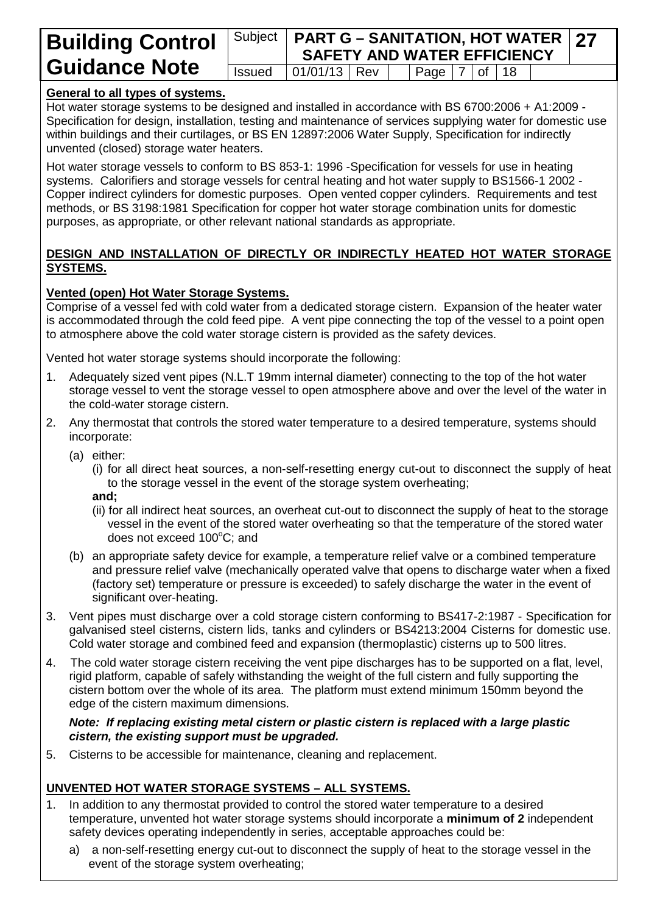#### Subject **PART G – SANITATION, HOT WATER SAFETY AND WATER EFFICIENCY 27** Issued  $\vert$  01/01/13 Rev  $\vert$  Page  $\vert$  7 of 18

## **General to all types of systems.**

Hot water storage systems to be designed and installed in accordance with BS 6700:2006 + A1:2009 - Specification for design, installation, testing and maintenance of services supplying water for domestic use within buildings and their curtilages, or BS EN 12897:2006 Water Supply, Specification for indirectly unvented (closed) storage water heaters.

Hot water storage vessels to conform to BS 853-1: 1996 -Specification for vessels for use in heating systems. Calorifiers and storage vessels for central heating and hot water supply to BS1566-1 2002 - Copper indirect cylinders for domestic purposes. Open vented copper cylinders. Requirements and test methods, or BS 3198:1981 Specification for copper hot water storage combination units for domestic purposes, as appropriate, or other relevant national standards as appropriate.

#### **DESIGN AND INSTALLATION OF DIRECTLY OR INDIRECTLY HEATED HOT WATER STORAGE SYSTEMS.**

### **Vented (open) Hot Water Storage Systems.**

Comprise of a vessel fed with cold water from a dedicated storage cistern. Expansion of the heater water is accommodated through the cold feed pipe. A vent pipe connecting the top of the vessel to a point open to atmosphere above the cold water storage cistern is provided as the safety devices.

Vented hot water storage systems should incorporate the following:

- 1. Adequately sized vent pipes (N.L.T 19mm internal diameter) connecting to the top of the hot water storage vessel to vent the storage vessel to open atmosphere above and over the level of the water in the cold-water storage cistern.
- 2. Any thermostat that controls the stored water temperature to a desired temperature, systems should incorporate:
	- (a) either:

(i) for all direct heat sources, a non-self-resetting energy cut-out to disconnect the supply of heat to the storage vessel in the event of the storage system overheating;

- **and;**
- (ii) for all indirect heat sources, an overheat cut-out to disconnect the supply of heat to the storage vessel in the event of the stored water overheating so that the temperature of the stored water does not exceed 100°C; and
- (b) an appropriate safety device for example, a temperature relief valve or a combined temperature and pressure relief valve (mechanically operated valve that opens to discharge water when a fixed (factory set) temperature or pressure is exceeded) to safely discharge the water in the event of significant over-heating.
- 3. Vent pipes must discharge over a cold storage cistern conforming to BS417-2:1987 Specification for galvanised steel cisterns, cistern lids, tanks and cylinders or BS4213:2004 Cisterns for domestic use. Cold water storage and combined feed and expansion (thermoplastic) cisterns up to 500 litres.
- 4. The cold water storage cistern receiving the vent pipe discharges has to be supported on a flat, level, rigid platform, capable of safely withstanding the weight of the full cistern and fully supporting the cistern bottom over the whole of its area. The platform must extend minimum 150mm beyond the edge of the cistern maximum dimensions.

*Note: If replacing existing metal cistern or plastic cistern is replaced with a large plastic cistern, the existing support must be upgraded.*

5. Cisterns to be accessible for maintenance, cleaning and replacement.

### **UNVENTED HOT WATER STORAGE SYSTEMS – ALL SYSTEMS.**

- 1. In addition to any thermostat provided to control the stored water temperature to a desired temperature, unvented hot water storage systems should incorporate a **minimum of 2** independent safety devices operating independently in series, acceptable approaches could be:
	- a) a non-self-resetting energy cut-out to disconnect the supply of heat to the storage vessel in the event of the storage system overheating;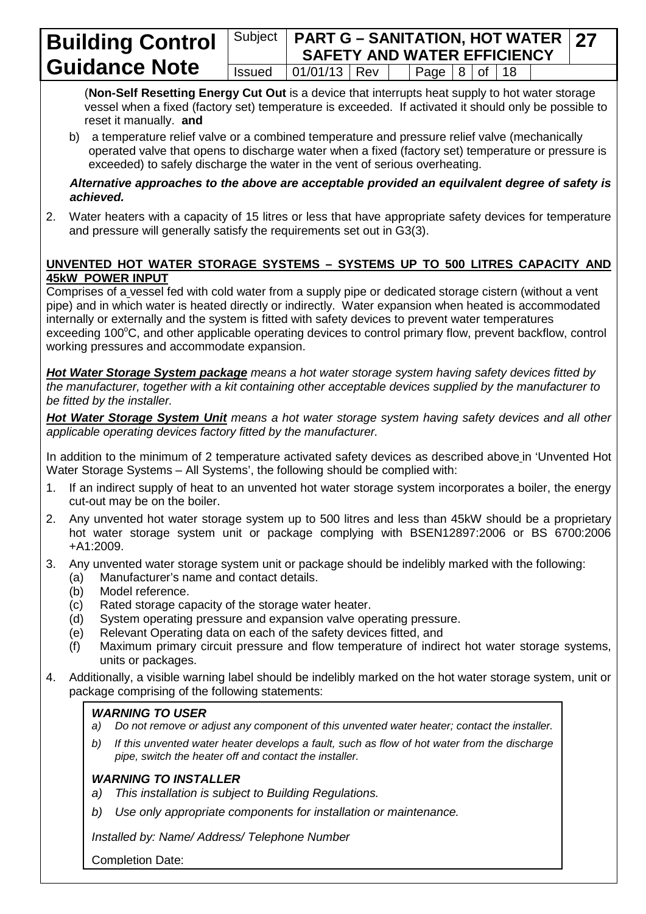#### **Building Control Guidance Note** Subject **PART G – SANITATION, HOT WATER SAFETY AND WATER EFFICIENCY**  $Is sued \mid 01/01/13 \mid Rev \mid \mid Paqe \mid 8 \mid of \mid 18$

(**Non-Self Resetting Energy Cut Out** is a device that interrupts heat supply to hot water storage vessel when a fixed (factory set) temperature is exceeded. If activated it should only be possible to reset it manually. **and** 

**27**

b) a temperature relief valve or a combined temperature and pressure relief valve (mechanically operated valve that opens to discharge water when a fixed (factory set) temperature or pressure is exceeded) to safely discharge the water in the vent of serious overheating.

*Alternative approaches to the above are acceptable provided an equilvalent degree of safety is achieved.*

2. Water heaters with a capacity of 15 litres or less that have appropriate safety devices for temperature and pressure will generally satisfy the requirements set out in G3(3).

## **UNVENTED HOT WATER STORAGE SYSTEMS – SYSTEMS UP TO 500 LITRES CAPACITY AND 45kW POWER INPUT**

Comprises of a vessel fed with cold water from a supply pipe or dedicated storage cistern (without a vent pipe) and in which water is heated directly or indirectly. Water expansion when heated is accommodated internally or externally and the system is fitted with safety devices to prevent water temperatures exceeding 100°C, and other applicable operating devices to control primary flow, prevent backflow, control working pressures and accommodate expansion.

*Hot Water Storage System package means a hot water storage system having safety devices fitted by the manufacturer, together with a kit containing other acceptable devices supplied by the manufacturer to be fitted by the installer.*

*Hot Water Storage System Unit means a hot water storage system having safety devices and all other applicable operating devices factory fitted by the manufacturer.*

In addition to the minimum of 2 temperature activated safety devices as described above in 'Unvented Hot Water Storage Systems – All Systems', the following should be complied with:

- 1. If an indirect supply of heat to an unvented hot water storage system incorporates a boiler, the energy cut-out may be on the boiler.
- 2. Any unvented hot water storage system up to 500 litres and less than 45kW should be a proprietary hot water storage system unit or package complying with BSEN12897:2006 or BS 6700:2006 +A1:2009.
- 3. Any unvented water storage system unit or package should be indelibly marked with the following:
	- (a) Manufacturer's name and contact details.
	- (b) Model reference.
	- (c) Rated storage capacity of the storage water heater.
	- (d) System operating pressure and expansion valve operating pressure.
	- (e) Relevant Operating data on each of the safety devices fitted, and
	- (f) Maximum primary circuit pressure and flow temperature of indirect hot water storage systems, units or packages.
- 4. Additionally, a visible warning label should be indelibly marked on the hot water storage system, unit or package comprising of the following statements:

# *WARNING TO USER*

- *a) Do not remove or adjust any component of this unvented water heater; contact the installer.*
- *b) If this unvented water heater develops a fault, such as flow of hot water from the discharge pipe, switch the heater off and contact the installer.*

# *WARNING TO INSTALLER*

- *a) This installation is subject to Building Regulations.*
- *b) Use only appropriate components for installation or maintenance.*

*Installed by: Name/ Address/ Telephone Number*

Completion Date: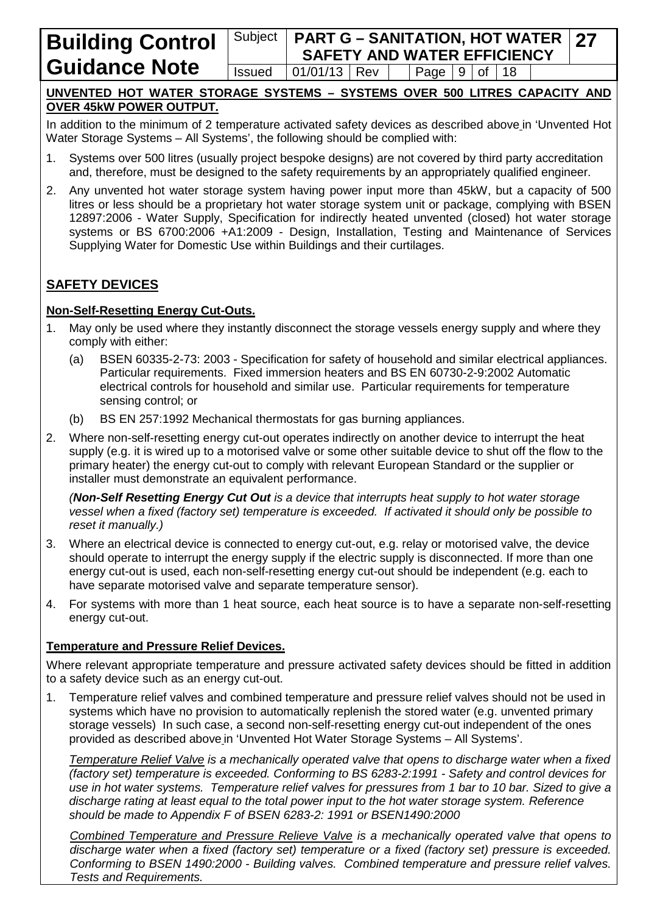#### Subject **PART G – SANITATION, HOT WATER SAFETY AND WATER EFFICIENCY**<br>01/01/13 Rev | Page 9 of 18 **27**  $Is sued \mid 01/01/13 \mid Rev \mid \mid Paqe \mid 9 \mid of \mid 18$

### **UNVENTED HOT WATER STORAGE SYSTEMS – SYSTEMS OVER 500 LITRES CAPACITY AND OVER 45kW POWER OUTPUT.**

In addition to the minimum of 2 temperature activated safety devices as described above in 'Unvented Hot Water Storage Systems – All Systems', the following should be complied with:

- 1. Systems over 500 litres (usually project bespoke designs) are not covered by third party accreditation and, therefore, must be designed to the safety requirements by an appropriately qualified engineer.
- 2. Any unvented hot water storage system having power input more than 45kW, but a capacity of 500 litres or less should be a proprietary hot water storage system unit or package, complying with BSEN 12897:2006 - Water Supply, Specification for indirectly heated unvented (closed) hot water storage systems or BS 6700:2006 +A1:2009 - Design, Installation, Testing and Maintenance of Services Supplying Water for Domestic Use within Buildings and their curtilages.

# **SAFETY DEVICES**

#### **Non-Self-Resetting Energy Cut-Outs.**

- 1. May only be used where they instantly disconnect the storage vessels energy supply and where they comply with either:
	- (a) BSEN 60335-2-73: 2003 Specification for safety of household and similar electrical appliances. Particular requirements. Fixed immersion heaters and BS EN 60730-2-9:2002 Automatic electrical controls for household and similar use. Particular requirements for temperature sensing control; or
	- (b) BS EN 257:1992 Mechanical thermostats for gas burning appliances.
- 2. Where non-self-resetting energy cut-out operates indirectly on another device to interrupt the heat supply (e.g. it is wired up to a motorised valve or some other suitable device to shut off the flow to the primary heater) the energy cut-out to comply with relevant European Standard or the supplier or installer must demonstrate an equivalent performance.

*(Non-Self Resetting Energy Cut Out is a device that interrupts heat supply to hot water storage vessel when a fixed (factory set) temperature is exceeded. If activated it should only be possible to reset it manually.)*

- 3. Where an electrical device is connected to energy cut-out, e.g. relay or motorised valve, the device should operate to interrupt the energy supply if the electric supply is disconnected. If more than one energy cut-out is used, each non-self-resetting energy cut-out should be independent (e.g. each to have separate motorised valve and separate temperature sensor).
- 4. For systems with more than 1 heat source, each heat source is to have a separate non-self-resetting energy cut-out.

### **Temperature and Pressure Relief Devices.**

Where relevant appropriate temperature and pressure activated safety devices should be fitted in addition to a safety device such as an energy cut-out.

1. Temperature relief valves and combined temperature and pressure relief valves should not be used in systems which have no provision to automatically replenish the stored water (e.g. unvented primary storage vessels) In such case, a second non-self-resetting energy cut-out independent of the ones provided as described above in 'Unvented Hot Water Storage Systems – All Systems'.

*Temperature Relief Valve is a mechanically operated valve that opens to discharge water when a fixed (factory set) temperature is exceeded. Conforming to BS 6283-2:1991 - Safety and control devices for use in hot water systems. Temperature relief valves for pressures from 1 bar to 10 bar. Sized to give a discharge rating at least equal to the total power input to the hot water storage system. Reference should be made to Appendix F of BSEN 6283-2: 1991 or BSEN1490:2000*

*Combined Temperature and Pressure Relieve Valve is a mechanically operated valve that opens to discharge water when a fixed (factory set) temperature or a fixed (factory set) pressure is exceeded. Conforming to BSEN 1490:2000 - Building valves. Combined temperature and pressure relief valves. Tests and Requirements.*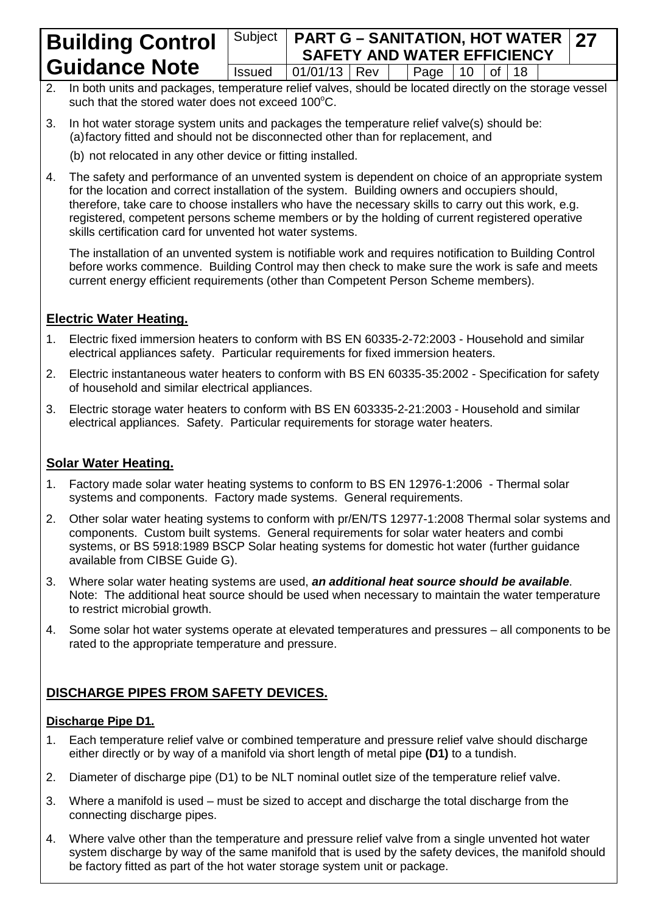# Subject **PART G – SANITATION, HOT WATER SAFETY AND WATER EFFICIENCY**  $Is sued \ 01/01/13 \ 0.01/13 \ 0.01/13 \ 0.01/13$

**27**

- 2. In both units and packages, temperature relief valves, should be located directly on the storage vessel such that the stored water does not exceed  $100^{\circ}$ C.
- 3. In hot water storage system units and packages the temperature relief valve(s) should be: (a)factory fitted and should not be disconnected other than for replacement, and
	- (b) not relocated in any other device or fitting installed.
- 4. The safety and performance of an unvented system is dependent on choice of an appropriate system for the location and correct installation of the system. Building owners and occupiers should, therefore, take care to choose installers who have the necessary skills to carry out this work, e.g. registered, competent persons scheme members or by the holding of current registered operative skills certification card for unvented hot water systems.

The installation of an unvented system is notifiable work and requires notification to Building Control before works commence. Building Control may then check to make sure the work is safe and meets current energy efficient requirements (other than Competent Person Scheme members).

# **Electric Water Heating.**

- 1. Electric fixed immersion heaters to conform with BS EN 60335-2-72:2003 Household and similar electrical appliances safety. Particular requirements for fixed immersion heaters.
- 2. Electric instantaneous water heaters to conform with BS EN 60335-35:2002 Specification for safety of household and similar electrical appliances.
- 3. Electric storage water heaters to conform with BS EN 603335-2-21:2003 Household and similar electrical appliances. Safety. Particular requirements for storage water heaters.

# **Solar Water Heating.**

- 1. Factory made solar water heating systems to conform to BS EN 12976-1:2006 Thermal solar systems and components. Factory made systems. General requirements.
- 2. Other solar water heating systems to conform with pr/EN/TS 12977-1:2008 Thermal solar systems and components. Custom built systems. General requirements for solar water heaters and combi systems, or BS 5918:1989 BSCP Solar heating systems for domestic hot water (further guidance available from CIBSE Guide G).
- 3. Where solar water heating systems are used, *an additional heat source should be available*. Note: The additional heat source should be used when necessary to maintain the water temperature to restrict microbial growth.
- 4. Some solar hot water systems operate at elevated temperatures and pressures all components to be rated to the appropriate temperature and pressure.

# **DISCHARGE PIPES FROM SAFETY DEVICES.**

### **Discharge Pipe D1.**

- 1. Each temperature relief valve or combined temperature and pressure relief valve should discharge either directly or by way of a manifold via short length of metal pipe **(D1)** to a tundish.
- 2. Diameter of discharge pipe (D1) to be NLT nominal outlet size of the temperature relief valve.
- 3. Where a manifold is used must be sized to accept and discharge the total discharge from the connecting discharge pipes.
- 4. Where valve other than the temperature and pressure relief valve from a single unvented hot water system discharge by way of the same manifold that is used by the safety devices, the manifold should be factory fitted as part of the hot water storage system unit or package.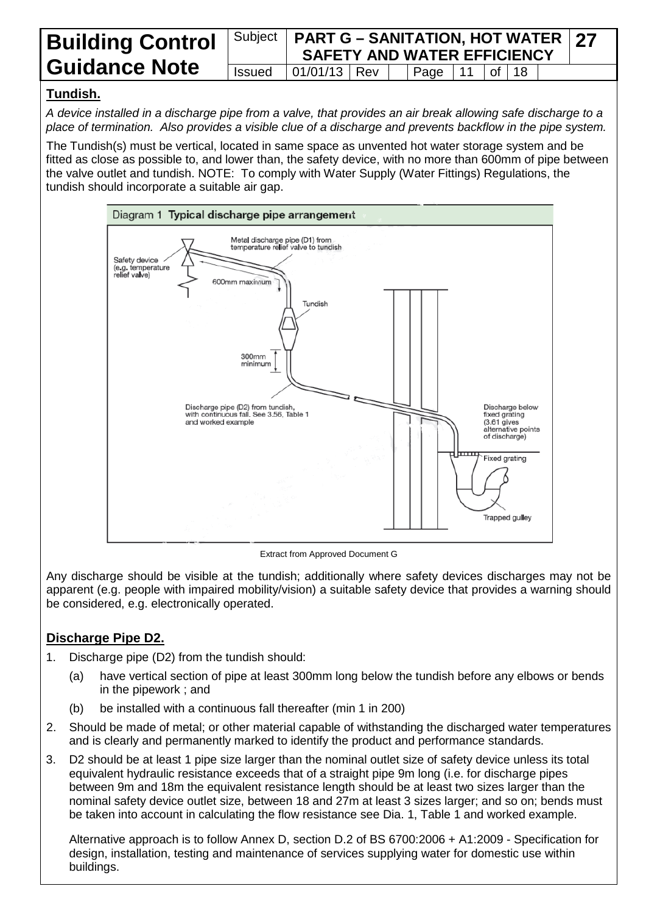#### **Building Control Guidance Note** Subject **PART G – SANITATION, HOT WATER SAFETY AND WATER EFFICIENCY 27**  $Is sued \ 01/01/13$  Rev | Page | 11 | of | 18

# **Tundish.**

*A device installed in a discharge pipe from a valve, that provides an air break allowing safe discharge to a place of termination. Also provides a visible clue of a discharge and prevents backflow in the pipe system.*

The Tundish(s) must be vertical, located in same space as unvented hot water storage system and be fitted as close as possible to, and lower than, the safety device, with no more than 600mm of pipe between the valve outlet and tundish. NOTE: To comply with Water Supply (Water Fittings) Regulations, the tundish should incorporate a suitable air gap.



Extract from Approved Document G

Any discharge should be visible at the tundish; additionally where safety devices discharges may not be apparent (e.g. people with impaired mobility/vision) a suitable safety device that provides a warning should be considered, e.g. electronically operated.

# **Discharge Pipe D2.**

- 1. Discharge pipe (D2) from the tundish should:
	- (a) have vertical section of pipe at least 300mm long below the tundish before any elbows or bends in the pipework ; and
	- (b) be installed with a continuous fall thereafter (min 1 in 200)
- 2. Should be made of metal; or other material capable of withstanding the discharged water temperatures and is clearly and permanently marked to identify the product and performance standards.
- 3. D2 should be at least 1 pipe size larger than the nominal outlet size of safety device unless its total equivalent hydraulic resistance exceeds that of a straight pipe 9m long (i.e. for discharge pipes between 9m and 18m the equivalent resistance length should be at least two sizes larger than the nominal safety device outlet size, between 18 and 27m at least 3 sizes larger; and so on; bends must be taken into account in calculating the flow resistance see Dia. 1, Table 1 and worked example.

Alternative approach is to follow Annex D, section D.2 of BS 6700:2006 + A1:2009 - Specification for design, installation, testing and maintenance of services supplying water for domestic use within buildings.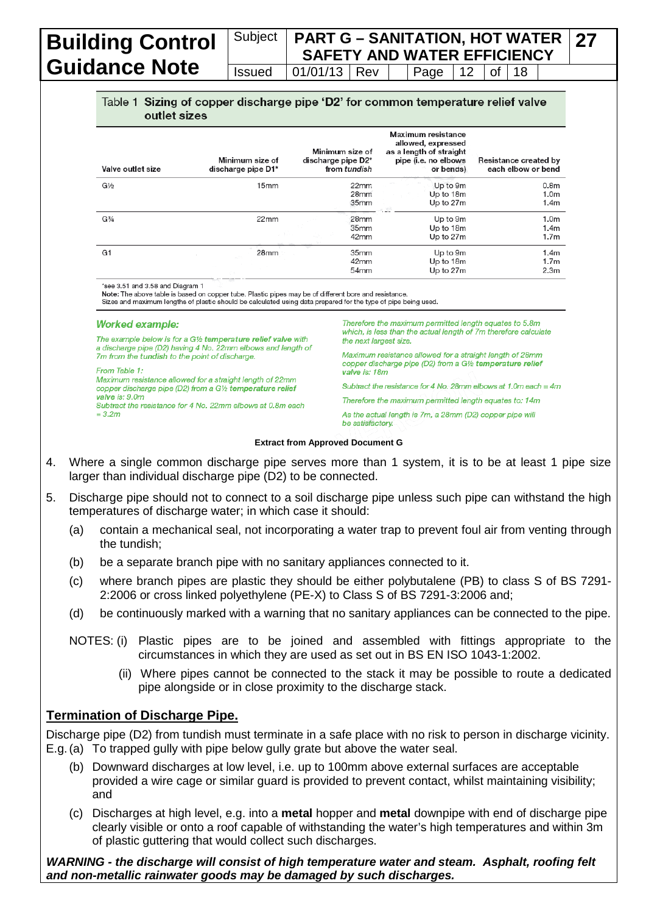## Subject **PART G – SANITATION, HOT WATER SAFETY AND WATER EFFICIENCY**  $Is sued \mid 01/01/13 \mid Rev \mid \mid Paqe \mid 12 \mid of \mid 18$

**27**

#### Table 1 Sizing of copper discharge pipe 'D2' for common temperature relief valve outlet sizes

| Valve outlet size             | Minimum size of<br>discharge pipe D1* | Minimum size of<br>discharge pipe D2* | from tundish                                 | Maximum resistance<br>allowed, expressed<br>as a length of straight<br>pipe (i.e. no elbows<br>or bends) | <b>Resistance created by</b><br>each elbow or bend       |  |  |
|-------------------------------|---------------------------------------|---------------------------------------|----------------------------------------------|----------------------------------------------------------------------------------------------------------|----------------------------------------------------------|--|--|
| G1⁄2                          | 15 <sub>mm</sub>                      |                                       | 22 <sub>mm</sub><br>28 <sub>mm</sub><br>35mm | Up to 9m<br>Up to 18m<br>Up to 27m                                                                       | 0.8 <sub>m</sub><br>1.0 <sub>m</sub><br>1.4 <sub>m</sub> |  |  |
| G <sup>3</sup> / <sub>4</sub> | 22mm                                  |                                       | 28mm<br>35 <sub>mm</sub><br>42mm             | Up to 9m<br>Up to 18m<br>Up to 27m                                                                       | 1.0 <sub>m</sub><br>1.4 <sub>m</sub><br>1.7 <sub>m</sub> |  |  |
| G1                            | 28mm                                  |                                       | 35mm<br>42mm<br>54mm                         | Up to 9m<br>Up to 18m<br>Up to 27m                                                                       | 1.4 <sub>m</sub><br>1.7 <sub>m</sub><br>2.3 <sub>m</sub> |  |  |

\*see 3.51 and 3.58 and Diagram 1

see э.১ i and a .os and Diagram<br>Note: The above table is based on copper tube. Plastic pipes may be of different bore and resistance.<br>Sizes and maximum lengths of plastic should be calculated using data prepared for the ty

#### **Worked example:**

The example below is for a G1/2 temperature relief valve with a discharge pipe (D2) having 4 No. 22mm elbows and length of 7m from the tundish to the point of discharge.

 $From$  Table 1: Maximum resistance allowed for a straight length of 22mm copper discharge pipe (D2) from a G1/2 temperature relief  $value is: 9.0m$ Subtract the resistance for 4 No. 22mm elbows at 0.8m each  $= 3.2m$ 

Therefore the maximum permitted length equates to 5.8m which, is less than the actual length of 7m therefore calculate the next largest size.

Maximum resistance allowed for a straight length of 28mm copper discharge pipe (D2) from a G1/2 temperature relief valve is: 18m

Subtract the resistance for 4 No. 28mm elbows at 1.0m each =  $4m$ 

Therefore the maximum permitted length equates to: 14m

As the actual length is 7m, a 28mm (D2) copper pipe will be satisfactory.

#### **Extract from Approved Document G**

- 4. Where a single common discharge pipe serves more than 1 system, it is to be at least 1 pipe size larger than individual discharge pipe (D2) to be connected.
- 5. Discharge pipe should not to connect to a soil discharge pipe unless such pipe can withstand the high temperatures of discharge water; in which case it should:
	- (a) contain a mechanical seal, not incorporating a water trap to prevent foul air from venting through the tundish;
	- (b) be a separate branch pipe with no sanitary appliances connected to it.
	- (c) where branch pipes are plastic they should be either polybutalene (PB) to class S of BS 7291- 2:2006 or cross linked polyethylene (PE-X) to Class S of BS 7291-3:2006 and;
	- (d) be continuously marked with a warning that no sanitary appliances can be connected to the pipe.
	- NOTES: (i) Plastic pipes are to be joined and assembled with fittings appropriate to the circumstances in which they are used as set out in BS EN ISO 1043-1:2002.
		- (ii) Where pipes cannot be connected to the stack it may be possible to route a dedicated pipe alongside or in close proximity to the discharge stack.

#### **Termination of Discharge Pipe.**

Discharge pipe (D2) from tundish must terminate in a safe place with no risk to person in discharge vicinity. E.g.(a) To trapped gully with pipe below gully grate but above the water seal.

- (b) Downward discharges at low level, i.e. up to 100mm above external surfaces are acceptable provided a wire cage or similar guard is provided to prevent contact, whilst maintaining visibility; and
- (c) Discharges at high level, e.g. into a **metal** hopper and **metal** downpipe with end of discharge pipe clearly visible or onto a roof capable of withstanding the water's high temperatures and within 3m of plastic guttering that would collect such discharges.

*WARNING - the discharge will consist of high temperature water and steam. Asphalt, roofing felt and non-metallic rainwater goods may be damaged by such discharges.*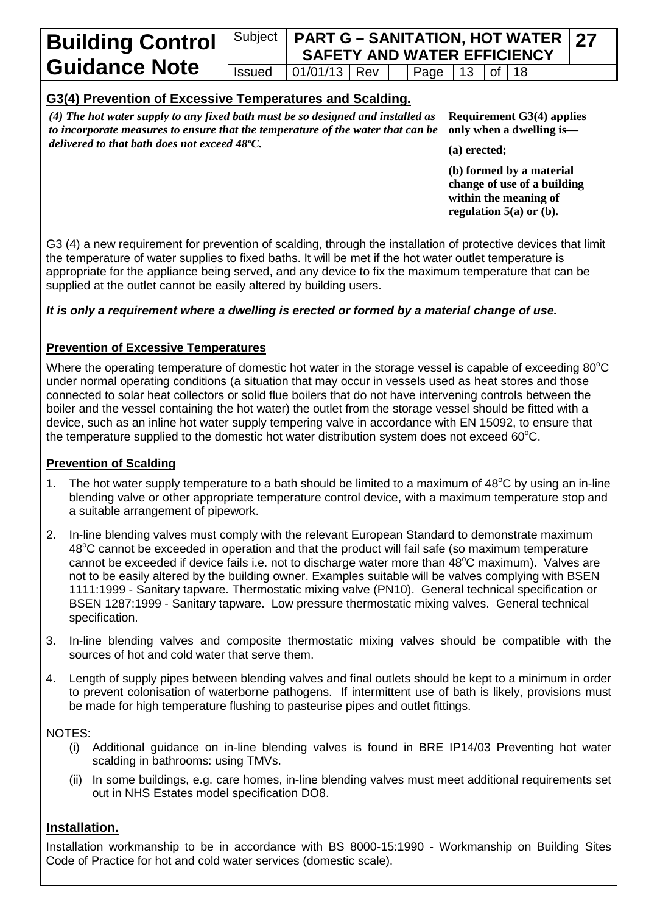#### Subject **PART G – SANITATION, HOT WATER SAFETY AND WATER EFFICIENCY 27** Issued  $\vert$  01/01/13 Rev  $\vert$  Page 13 of 18

# **G3(4) Prevention of Excessive Temperatures and Scalding.**

*(4) The hot water supply to any fixed bath must be so designed and installed as to incorporate measures to ensure that the temperature of the water that can be delivered to that bath does not exceed 48ºC.*

**Requirement G3(4) applies only when a dwelling is—**

**(a) erected;**

**(b) formed by a material change of use of a building within the meaning of regulation 5(a) or (b).**

G3 (4) a new requirement for prevention of scalding, through the installation of protective devices that limit the temperature of water supplies to fixed baths. It will be met if the hot water outlet temperature is appropriate for the appliance being served, and any device to fix the maximum temperature that can be supplied at the outlet cannot be easily altered by building users.

#### *It is only a requirement where a dwelling is erected or formed by a material change of use.*

#### **Prevention of Excessive Temperatures**

Where the operating temperature of domestic hot water in the storage vessel is capable of exceeding 80 $^{\circ}$ C under normal operating conditions (a situation that may occur in vessels used as heat stores and those connected to solar heat collectors or solid flue boilers that do not have intervening controls between the boiler and the vessel containing the hot water) the outlet from the storage vessel should be fitted with a device, such as an inline hot water supply tempering valve in accordance with EN 15092, to ensure that the temperature supplied to the domestic hot water distribution system does not exceed 60 $^{\circ}$ C.

#### **Prevention of Scalding**

- 1. The hot water supply temperature to a bath should be limited to a maximum of 48°C by using an in-line blending valve or other appropriate temperature control device, with a maximum temperature stop and a suitable arrangement of pipework.
- 2. In-line blending valves must comply with the relevant European Standard to demonstrate maximum 48°C cannot be exceeded in operation and that the product will fail safe (so maximum temperature cannot be exceeded if device fails i.e. not to discharge water more than 48°C maximum). Valves are not to be easily altered by the building owner. Examples suitable will be valves complying with BSEN 1111:1999 - Sanitary tapware. Thermostatic mixing valve (PN10). General technical specification or BSEN 1287:1999 - Sanitary tapware. Low pressure thermostatic mixing valves. General technical specification.
- 3. In-line blending valves and composite thermostatic mixing valves should be compatible with the sources of hot and cold water that serve them.
- 4. Length of supply pipes between blending valves and final outlets should be kept to a minimum in order to prevent colonisation of waterborne pathogens. If intermittent use of bath is likely, provisions must be made for high temperature flushing to pasteurise pipes and outlet fittings.

NOTES:

- (i) Additional guidance on in-line blending valves is found in BRE IP14/03 Preventing hot water scalding in bathrooms: using TMVs.
- (ii) In some buildings, e.g. care homes, in-line blending valves must meet additional requirements set out in NHS Estates model specification DO8.

#### **Installation.**

Installation workmanship to be in accordance with BS 8000-15:1990 - Workmanship on Building Sites Code of Practice for hot and cold water services (domestic scale).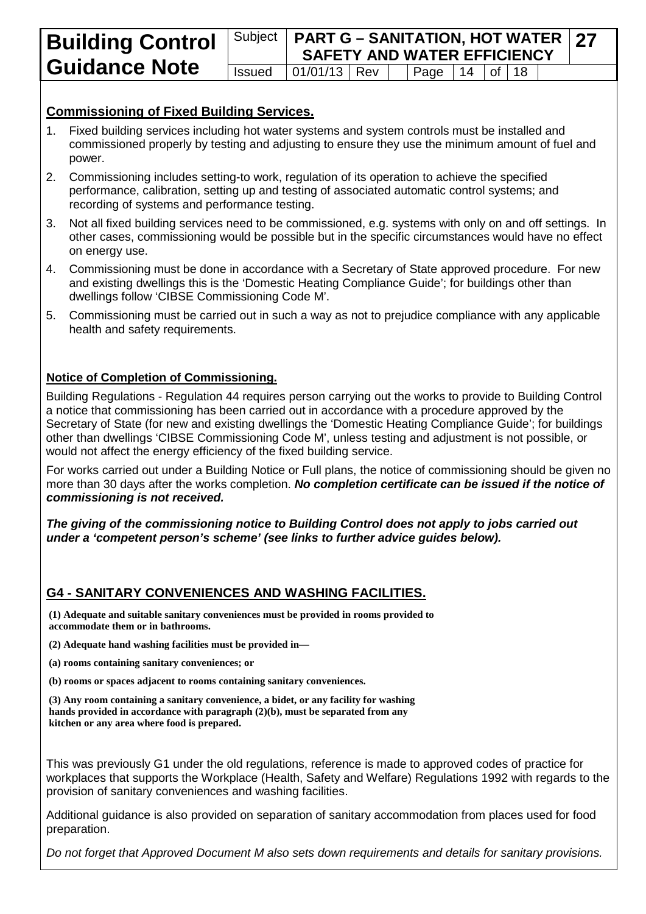**27**

## **Commissioning of Fixed Building Services.**

- 1. Fixed building services including hot water systems and system controls must be installed and commissioned properly by testing and adjusting to ensure they use the minimum amount of fuel and power.
- 2. Commissioning includes setting-to work, regulation of its operation to achieve the specified performance, calibration, setting up and testing of associated automatic control systems; and recording of systems and performance testing.
- 3. Not all fixed building services need to be commissioned, e.g. systems with only on and off settings. In other cases, commissioning would be possible but in the specific circumstances would have no effect on energy use.
- 4. Commissioning must be done in accordance with a Secretary of State approved procedure. For new and existing dwellings this is the 'Domestic Heating Compliance Guide'; for buildings other than dwellings follow 'CIBSE Commissioning Code M'.
- 5. Commissioning must be carried out in such a way as not to prejudice compliance with any applicable health and safety requirements.

#### **Notice of Completion of Commissioning.**

Building Regulations - Regulation 44 requires person carrying out the works to provide to Building Control a notice that commissioning has been carried out in accordance with a procedure approved by the Secretary of State (for new and existing dwellings the 'Domestic Heating Compliance Guide'; for buildings other than dwellings 'CIBSE Commissioning Code M', unless testing and adjustment is not possible, or would not affect the energy efficiency of the fixed building service.

For works carried out under a Building Notice or Full plans, the notice of commissioning should be given no more than 30 days after the works completion. *No completion certificate can be issued if the notice of commissioning is not received.*

*The giving of the commissioning notice to Building Control does not apply to jobs carried out under a 'competent person's scheme' (see links to further advice guides below).*

# **G4 - SANITARY CONVENIENCES AND WASHING FACILITIES.**

**(1) Adequate and suitable sanitary conveniences must be provided in rooms provided to accommodate them or in bathrooms.**

**(2) Adequate hand washing facilities must be provided in—**

- **(a) rooms containing sanitary conveniences; or**
- **(b) rooms or spaces adjacent to rooms containing sanitary conveniences.**

**(3) Any room containing a sanitary convenience, a bidet, or any facility for washing hands provided in accordance with paragraph (2)(b), must be separated from any kitchen or any area where food is prepared.**

This was previously G1 under the old regulations, reference is made to approved codes of practice for workplaces that supports the Workplace (Health, Safety and Welfare) Regulations 1992 with regards to the provision of sanitary conveniences and washing facilities.

Additional guidance is also provided on separation of sanitary accommodation from places used for food preparation.

*Do not forget that Approved Document M also sets down requirements and details for sanitary provisions.*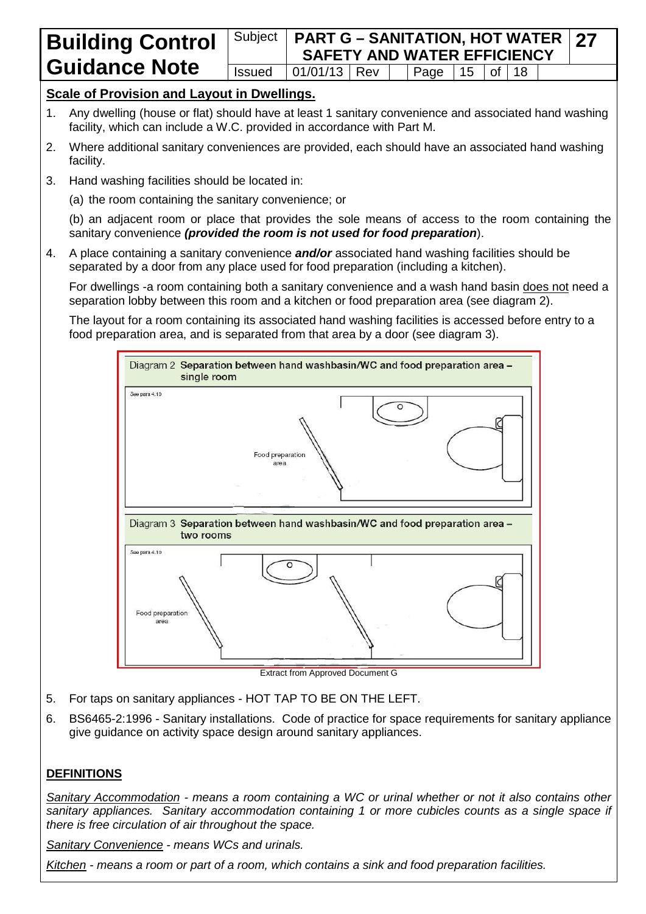#### Subject **PART G – SANITATION, HOT WATER SAFETY AND WATER EFFICIENCY 27**  $Is sued \ 01/01/13 \, \text{Rev} \, \text{Paae} \, 15 \, \text{of} \, 18$

## **Scale of Provision and Layout in Dwellings.**

- 1. Any dwelling (house or flat) should have at least 1 sanitary convenience and associated hand washing facility, which can include a W.C. provided in accordance with Part M.
- 2. Where additional sanitary conveniences are provided, each should have an associated hand washing facility.
- 3. Hand washing facilities should be located in:
	- (a) the room containing the sanitary convenience; or

(b) an adjacent room or place that provides the sole means of access to the room containing the sanitary convenience *(provided the room is not used for food preparation*).

4. A place containing a sanitary convenience *and/or* associated hand washing facilities should be separated by a door from any place used for food preparation (including a kitchen).

For dwellings -a room containing both a sanitary convenience and a wash hand basin does not need a separation lobby between this room and a kitchen or food preparation area (see diagram 2).

The layout for a room containing its associated hand washing facilities is accessed before entry to a food preparation area, and is separated from that area by a door (see diagram 3).



Extract from Approved Document G

- 5. For taps on sanitary appliances HOT TAP TO BE ON THE LEFT.
- 6. BS6465-2:1996 Sanitary installations. Code of practice for space requirements for sanitary appliance give guidance on activity space design around sanitary appliances.

### **DEFINITIONS**

*Sanitary Accommodation - means a room containing a WC or urinal whether or not it also contains other sanitary appliances. Sanitary accommodation containing 1 or more cubicles counts as a single space if there is free circulation of air throughout the space.*

*Sanitary Convenience - means WCs and urinals.*

*Kitchen - means a room or part of a room, which contains a sink and food preparation facilities.*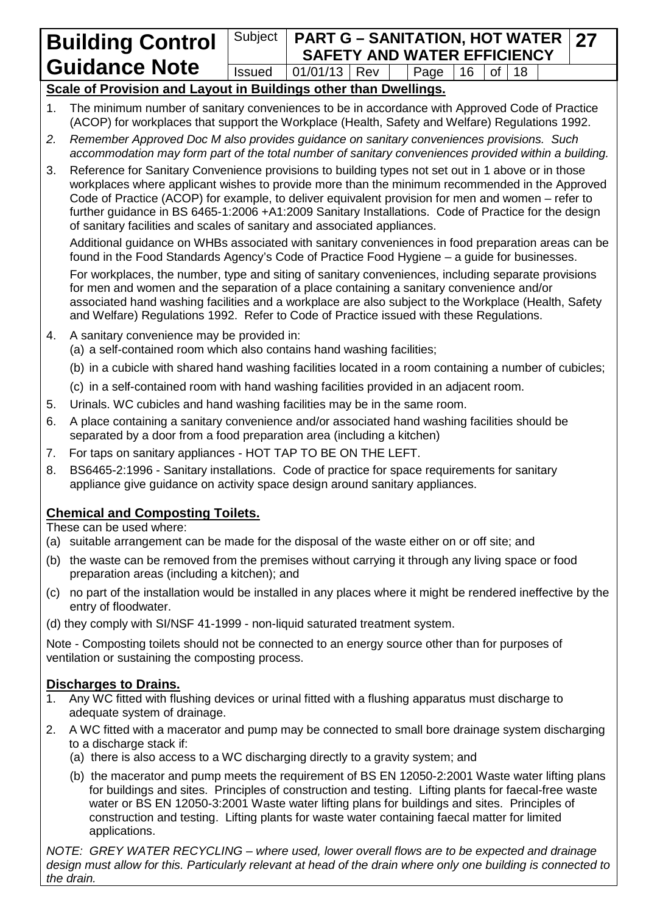# Subject **PART G – SANITATION, HOT WATER SAFETY AND WATER EFFICIENCY**<br>1/01/13 Rev | Page 16 of 18  $Is sued \ 01/01/13 \, \text{Rev} \, \text{Paae} \, 16 \, \text{of} \, 18$

**27**

# **Scale of Provision and Layout in Buildings other than Dwellings.**

- 1. The minimum number of sanitary conveniences to be in accordance with Approved Code of Practice (ACOP) for workplaces that support the Workplace (Health, Safety and Welfare) Regulations 1992.
- *2. Remember Approved Doc M also provides guidance on sanitary conveniences provisions. Such accommodation may form part of the total number of sanitary conveniences provided within a building.*
- 3. Reference for Sanitary Convenience provisions to building types not set out in 1 above or in those workplaces where applicant wishes to provide more than the minimum recommended in the Approved Code of Practice (ACOP) for example, to deliver equivalent provision for men and women – refer to further guidance in BS 6465-1:2006 +A1:2009 Sanitary Installations. Code of Practice for the design of sanitary facilities and scales of sanitary and associated appliances.

Additional guidance on WHBs associated with sanitary conveniences in food preparation areas can be found in the Food Standards Agency's Code of Practice Food Hygiene – a guide for businesses.

For workplaces, the number, type and siting of sanitary conveniences, including separate provisions for men and women and the separation of a place containing a sanitary convenience and/or associated hand washing facilities and a workplace are also subject to the Workplace (Health, Safety and Welfare) Regulations 1992. Refer to Code of Practice issued with these Regulations.

- 4. A sanitary convenience may be provided in:
	- (a) a self-contained room which also contains hand washing facilities;
	- (b) in a cubicle with shared hand washing facilities located in a room containing a number of cubicles;
	- (c) in a self-contained room with hand washing facilities provided in an adjacent room.
- 5. Urinals. WC cubicles and hand washing facilities may be in the same room.
- 6. A place containing a sanitary convenience and/or associated hand washing facilities should be separated by a door from a food preparation area (including a kitchen)
- 7. For taps on sanitary appliances HOT TAP TO BE ON THE LEFT.
- 8. BS6465-2:1996 Sanitary installations. Code of practice for space requirements for sanitary appliance give guidance on activity space design around sanitary appliances.

# **Chemical and Composting Toilets.**

These can be used where:

- (a) suitable arrangement can be made for the disposal of the waste either on or off site; and
- (b) the waste can be removed from the premises without carrying it through any living space or food preparation areas (including a kitchen); and
- (c) no part of the installation would be installed in any places where it might be rendered ineffective by the entry of floodwater.
- (d) they comply with SI/NSF 41-1999 non-liquid saturated treatment system.

Note - Composting toilets should not be connected to an energy source other than for purposes of ventilation or sustaining the composting process.

# **Discharges to Drains.**

- 1. Any WC fitted with flushing devices or urinal fitted with a flushing apparatus must discharge to adequate system of drainage.
- 2. A WC fitted with a macerator and pump may be connected to small bore drainage system discharging to a discharge stack if:
	- (a) there is also access to a WC discharging directly to a gravity system; and
	- (b) the macerator and pump meets the requirement of BS EN 12050-2:2001 Waste water lifting plans for buildings and sites. Principles of construction and testing. Lifting plants for faecal-free waste water or BS EN 12050-3:2001 Waste water lifting plans for buildings and sites. Principles of construction and testing. Lifting plants for waste water containing faecal matter for limited applications.

*NOTE: GREY WATER RECYCLING – where used, lower overall flows are to be expected and drainage design must allow for this. Particularly relevant at head of the drain where only one building is connected to the drain.*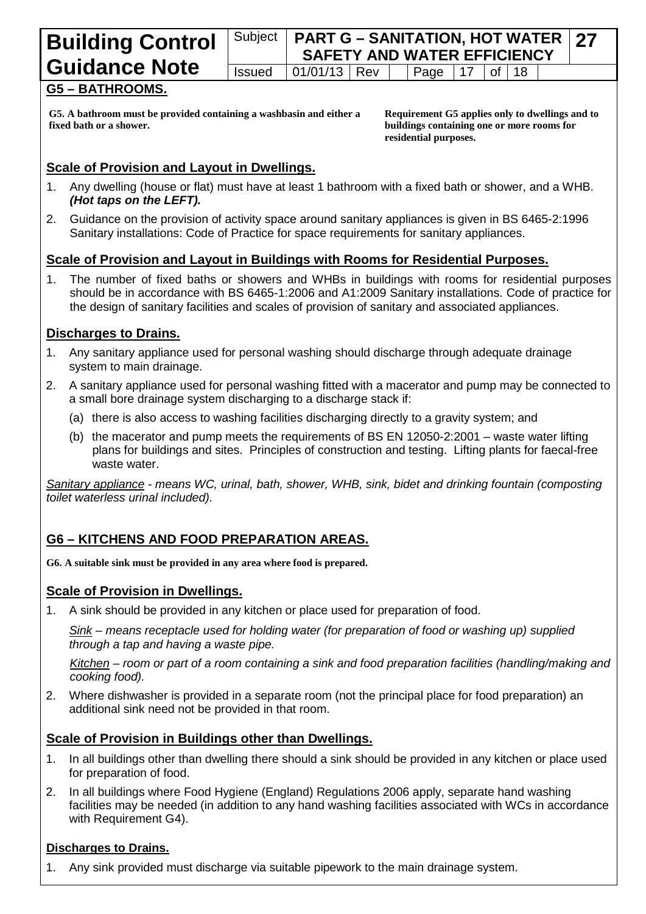| <b>Building Control</b> |               | Subject   PART G - SANITATION, HOT WATER   27<br><b>SAFETY AND WATER EFFICIENCY</b> |  |  |                         |  |  |                       |  |  |
|-------------------------|---------------|-------------------------------------------------------------------------------------|--|--|-------------------------|--|--|-----------------------|--|--|
| <b>Guidance Note</b>    | <b>Issued</b> | 01/01/13   Rev                                                                      |  |  | $\vert$ Page $\vert$ 17 |  |  | $\vert$ of $\vert$ 18 |  |  |
|                         |               |                                                                                     |  |  |                         |  |  |                       |  |  |

## **G5 – BATHROOMS.**

**G5. A bathroom must be provided containing a washbasin and either a fixed bath or a shower.**

**Requirement G5 applies only to dwellings and to buildings containing one or more rooms for residential purposes.**

#### **Scale of Provision and Layout in Dwellings.**

- 1. Any dwelling (house or flat) must have at least 1 bathroom with a fixed bath or shower, and a WHB. *(Hot taps on the LEFT).*
- 2. Guidance on the provision of activity space around sanitary appliances is given in BS 6465-2:1996 Sanitary installations: Code of Practice for space requirements for sanitary appliances.

#### **Scale of Provision and Layout in Buildings with Rooms for Residential Purposes.**

1. The number of fixed baths or showers and WHBs in buildings with rooms for residential purposes should be in accordance with BS 6465-1:2006 and A1:2009 Sanitary installations. Code of practice for the design of sanitary facilities and scales of provision of sanitary and associated appliances.

#### **Discharges to Drains.**

- 1. Any sanitary appliance used for personal washing should discharge through adequate drainage system to main drainage.
- 2. A sanitary appliance used for personal washing fitted with a macerator and pump may be connected to a small bore drainage system discharging to a discharge stack if:
	- (a) there is also access to washing facilities discharging directly to a gravity system; and
	- (b) the macerator and pump meets the requirements of BS EN 12050-2:2001 waste water lifting plans for buildings and sites. Principles of construction and testing. Lifting plants for faecal-free waste water.

*Sanitary appliance - means WC, urinal, bath, shower, WHB, sink, bidet and drinking fountain (composting toilet waterless urinal included).*

# **G6 – KITCHENS AND FOOD PREPARATION AREAS.**

**G6. A suitable sink must be provided in any area where food is prepared.**

#### **Scale of Provision in Dwellings.**

1. A sink should be provided in any kitchen or place used for preparation of food.

*Sink – means receptacle used for holding water (for preparation of food or washing up) supplied through a tap and having a waste pipe.*

*Kitchen – room or part of a room containing a sink and food preparation facilities (handling/making and cooking food).*

2. Where dishwasher is provided in a separate room (not the principal place for food preparation) an additional sink need not be provided in that room.

#### **Scale of Provision in Buildings other than Dwellings.**

- 1. In all buildings other than dwelling there should a sink should be provided in any kitchen or place used for preparation of food.
- 2. In all buildings where Food Hygiene (England) Regulations 2006 apply, separate hand washing facilities may be needed (in addition to any hand washing facilities associated with WCs in accordance with Requirement G4).

#### **Discharges to Drains.**

1. Any sink provided must discharge via suitable pipework to the main drainage system.